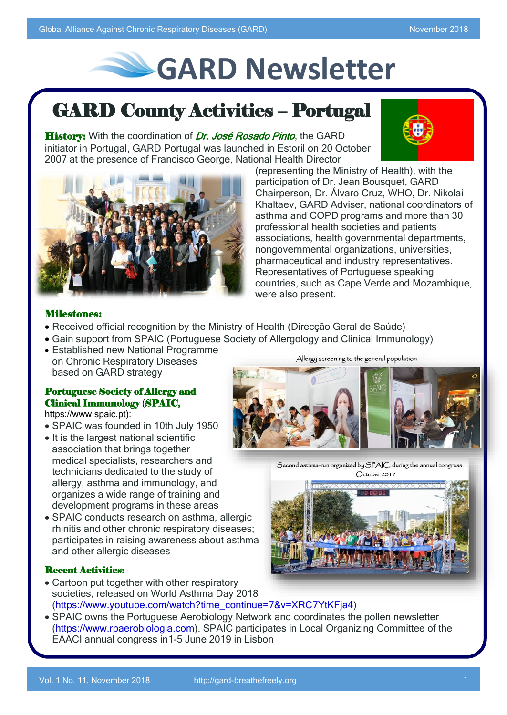# **GARD Newsletter**

## GARD County Activities – Portugal

History: With the coordination of Dr. José Rosado Pinto, the GARD initiator in Portugal, GARD Portugal was launched in Estoril on 20 October 2007 at the presence of Francisco George, National Health Director



(representing the Ministry of Health), with the participation of Dr. Jean Bousquet, GARD Chairperson, Dr. Álvaro Cruz, WHO, Dr. Nikolai Khaltaev, GARD Adviser, national coordinators of asthma and COPD programs and more than 30 professional health societies and patients associations, health governmental departments, nongovernmental organizations, universities, pharmaceutical and industry representatives. Representatives of Portuguese speaking countries, such as Cape Verde and Mozambique, were also present.

## Milestones:

- Received official recognition by the Ministry of Health (Direcção Geral de Saúde)
- Gain support from SPAIC (Portuguese Society of Allergology and Clinical Immunology)
- Established new National Programme on Chronic Respiratory Diseases based on GARD strategy

## Portuguese Society of Allergy and Clinical Immunology (SPAIC,

https://www.spaic.pt):

- SPAIC was founded in 10th July 1950
- It is the largest national scientific association that brings together medical specialists, researchers and technicians dedicated to the study of allergy, asthma and immunology, and organizes a wide range of training and development programs in these areas
- SPAIC conducts research on asthma, allergic rhinitis and other chronic respiratory diseases; participates in raising awareness about asthma and other allergic diseases

## Recent Activities:

- Cartoon put together with other respiratory societies, released on World Asthma Day 2018 (https://www.youtube.com/watch?time\_continue=7&v=XRC7YtKFja4)
- SPAIC owns the Portuguese Aerobiology Network and coordinates the pollen newsletter (https://www.rpaerobiologia.com). SPAIC participates in Local Organizing Committee of the EAACI annual congress in1-5 June 2019 in Lisbon

Allergy screening to the general population



Second asthma-run organized by SPAIC, during the annual congres October 2017

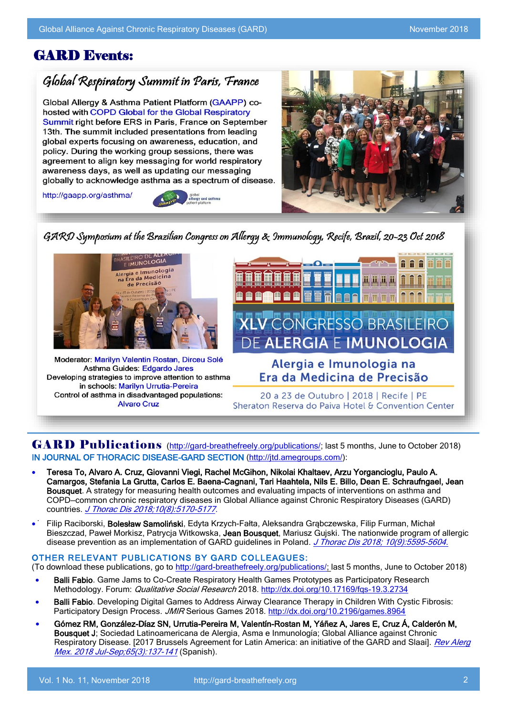## GARD Events:

## Global Respiratory Summit in Paris, France

Global Allergy & Asthma Patient Platform (GAAPP) cohosted with COPD Global for the Global Respiratory Summit right before ERS in Paris, France on September ֖֧֖֧ׅ֧֧֧֧֧֧֧֧֧֧֧֧֧֧֧֧֧֧֛֪֧֛֪֧֛֚֚֚֚֚֚֚֚֚֚֚֚֚֚֚֚֬֝֝֝֝֝֝֝֬֝֝֬֝֬֝֓֝֬֝֓֝֬֝֓֝֬֝֬֝֓֝֬֝֬֝֬֝֬֝֬֝֬֝֬֝֬֝֬ : ֦֦֖֖֖֦֚֚֚֚֝֝֬֝֓֡**֓**  $\ddot{\phantom{a}}$ awareness days, as well as updating our messaging ׇ֚֞֘



 $\overline{\phantom{a}}$ 

l i

l



 $\ddot{\phantom{0}}$ 



 $\overline{\phantom{a}}$ Asthma Guides: Edgardo Jares  $\overline{\phantom{a}}$ in schools: Marilyn Urrutia-Pereira  $\overline{\phantom{a}}$ Alvaro Cruz



Sheraton Reserva do Paiva Hotel & Convention Center

#### Ī IN JOURNAL OF THORACIC DISEASE-GARD SECTION [\(http://jtd.amegroups.com/\)](http://jtd.amegroups.com/): GARD Publications [\(http://gard-breathefreely.org/publications/;](http://gard-breathefreely.org/publications/) last 5 months, June to October 2018)

- Teresa To, Alvaro A. Cruz, Giovanni Viegi, Rachel McGihon, Nikolai Khaltaev, Arzu Yorgancioglu, Paulo A. COPD–common chronic respiratory diseases in Global Alliance against Chronic Respiratory Diseases (GARD)<br>countries *J. Thorac Dis 2018:10/8):5170-5177* Camargos, Stefania La Grutta, Carlos E. Baena-Cagnani, Tari Haahtela, Nils E. Billo, Dean E. Schraufngael, Jean Bousquet. A strategy for measuring health outcomes and evaluating impacts of interventions on asthma and countries. J Thorac [Dis 2018;10\(8\):5170-5177.](http://jtd.amegroups.com/article/view/23632/17855)
- . Filip Raciborski, Bolesław Samoliński, Edyta Krzych-Fałta, Aleksandra Grąbczewska, Filip Furman, Michał Bieszczad, Paweł Morkisz, Patrycja Witkowska, Jean Bousquet, Mariusz Gujski. The nationwide program of allergic disease prevention as an implementation of GARD guidelines in Poland. *[J Thorac Dis 2018; 10\(9\):5595-5604.](http://jtd.amegroups.com/article/view/24282/pdf)*

#### OTHER RELEVANT PUBLICATIONS BY GARD COLLEAGUES:

(To download these publications, go to <u>http://gard-breathefreely.org/publications/; l</u>ast 5 months, June to October 2018)

- Dam Table: Game came to go greate Respiratory Realth Games Prototyped as Participatory Res<br>Methodology. Forum: *Qualitative Social Research* 2018.<http://dx.doi.org/10.17169/fqs-19.3.2734> Balli Fabio. Game Jams to Co-Create Respiratory Health Games Prototypes as Participatory Research
- Balli Fabio. Developing Digital Games to Address Airway Clearance Therapy in Children With Cystic Fibrosis:<br>Destining the Decise Deceses 1940 Serious Cames 2018 http://dv.dsi.cra/10.2106/games 8064 Participatory Design Process. JMIR Serious Games 2018. <http://dx.doi.org/10.2196/games.8964>
- Gómez RM, González-Díaz SN, Urrutia-Pereira M, Valentín-Rostan M, Yáñez A, Jares E, Cruz Á, Calderón M, Respiratory Disease. [2017 Brussels Agreement for Latin America: an initiative of the GARD and Slaai]. *Rev Alerg* Bousquet J; Sociedad Latinoamericana de Alergia, Asma e Inmunología; Global Alliance against Chronic Mex. 2018 Jul-Sep; 65(3): 137-141 (Spanish).